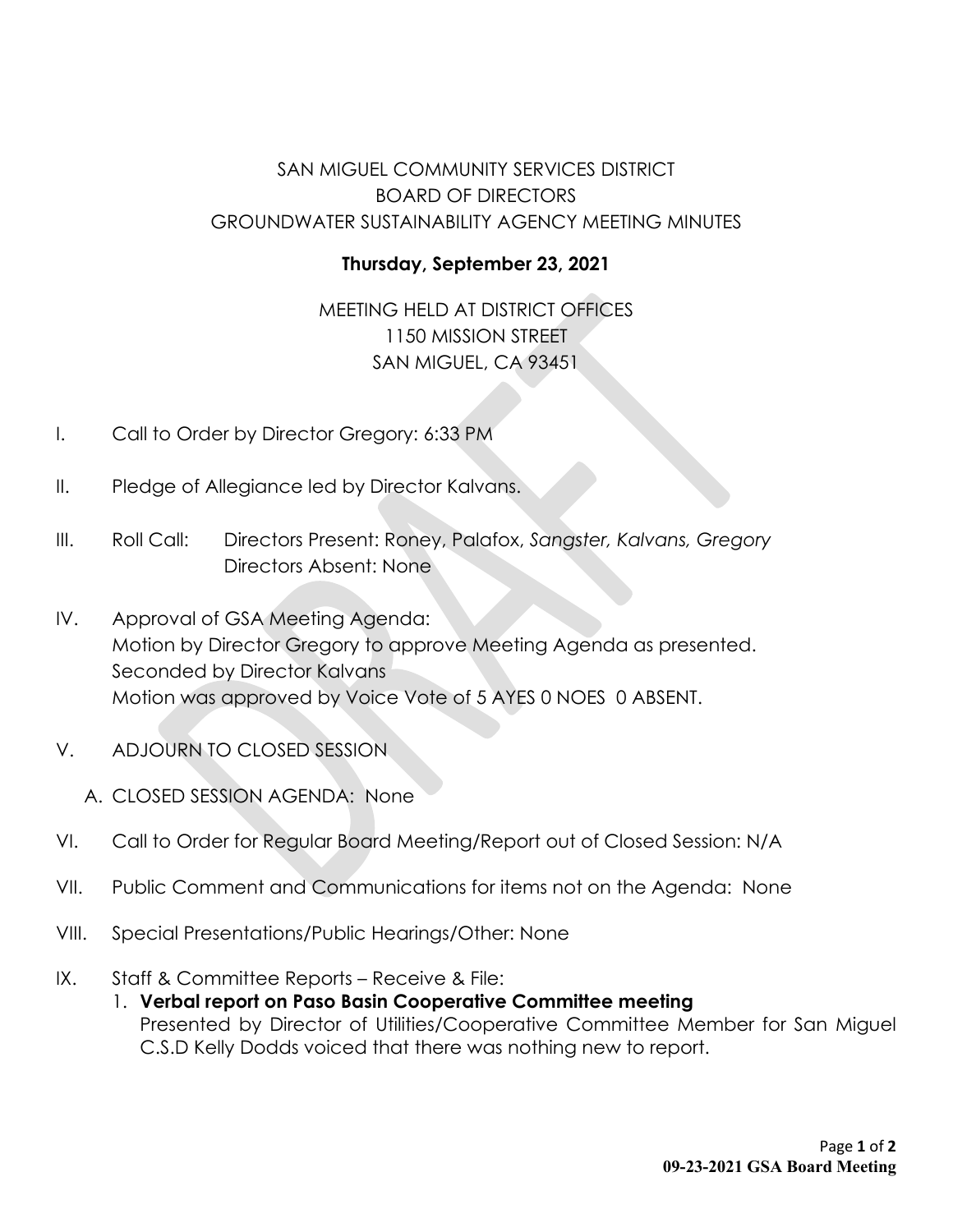# SAN MIGUEL COMMUNITY SERVICES DISTRICT BOARD OF DIRECTORS GROUNDWATER SUSTAINABILITY AGENCY MEETING MINUTES

## **Thursday, September 23, 2021**

MEETING HELD AT DISTRICT OFFICES 1150 MISSION STREET SAN MIGUEL, CA 93451

- I. Call to Order by Director Gregory: 6:33 PM
- II. Pledge of Allegiance led by Director Kalvans.
- III. Roll Call: Directors Present: Roney, Palafox, *Sangster, Kalvans, Gregory* Directors Absent: None
- IV. Approval of GSA Meeting Agenda: Motion by Director Gregory to approve Meeting Agenda as presented. Seconded by Director Kalvans Motion was approved by Voice Vote of 5 AYES 0 NOES 0 ABSENT.
- V. ADJOURN TO CLOSED SESSION
	- A. CLOSED SESSION AGENDA: None
- VI. Call to Order for Regular Board Meeting/Report out of Closed Session: N/A
- VII. Public Comment and Communications for items not on the Agenda: None
- VIII. Special Presentations/Public Hearings/Other: None
- IX. Staff & Committee Reports Receive & File:
	- 1. **Verbal report on Paso Basin Cooperative Committee meeting** Presented by Director of Utilities/Cooperative Committee Member for San Miguel C.S.D Kelly Dodds voiced that there was nothing new to report.